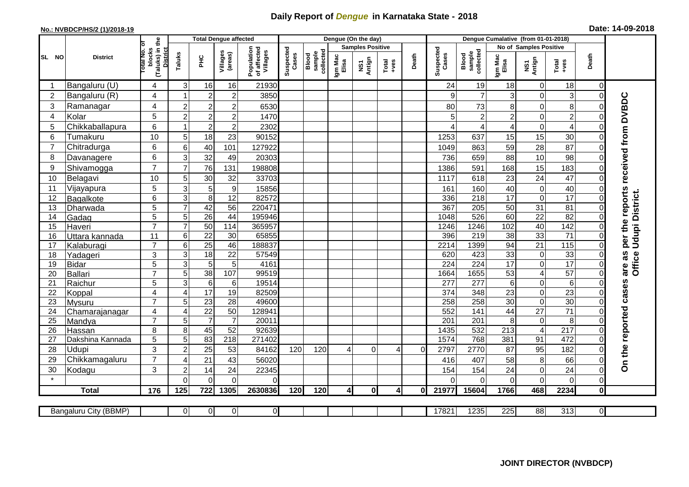## **Daily Report of** *Dengue* **in Karnataka State - 2018**

## **No.: NVBDCP/HS/2 (1)/2018-19 Date: 14-09-2018**

|                                                                                                                                                                      | <b>District</b>          |                                                             | <b>Total Dengue affected</b> |                            |                     |                                       |                    |                              |                         | Dengue (On the day) |                  |          |                    |                              |                         |                                    |                       |                      |                                     |
|----------------------------------------------------------------------------------------------------------------------------------------------------------------------|--------------------------|-------------------------------------------------------------|------------------------------|----------------------------|---------------------|---------------------------------------|--------------------|------------------------------|-------------------------|---------------------|------------------|----------|--------------------|------------------------------|-------------------------|------------------------------------|-----------------------|----------------------|-------------------------------------|
|                                                                                                                                                                      |                          |                                                             |                              |                            |                     |                                       |                    |                              | <b>Samples Positive</b> |                     |                  |          |                    |                              | No of Samples Positive  |                                    |                       |                      |                                     |
| SL NO                                                                                                                                                                |                          | (Taluks) in the<br>otal No. of<br>blocks<br><b>District</b> | Taluks                       | ΞÉ                         | Villages<br>(areas) | Population<br>of affected<br>Villages | Suspected<br>Cases | sample<br>collected<br>Blood | Igm Mac<br>Elisa        | NS1<br>Antign       | $Tota$<br>$+ves$ | Death    | Suspected<br>Cases | collected<br>sample<br>Blood | Igm Mac<br>Elisa        | NS1<br>Antign                      | Total<br>+ves         | Death                |                                     |
|                                                                                                                                                                      | Bangaluru (U)            | 4                                                           | 3                            | 16                         | 16                  | 21930                                 |                    |                              |                         |                     |                  |          | 24                 | 19                           | 18                      | $\mathbf 0$                        | 18                    | $\Omega$             |                                     |
| $\overline{2}$                                                                                                                                                       | Bangaluru (R)            | 4                                                           |                              | $\overline{2}$             | $\overline{c}$      | 3850                                  |                    |                              |                         |                     |                  |          |                    | $\overline{7}$               | 3                       | $\mathbf 0$                        | 3                     | $\Omega$             |                                     |
| 3                                                                                                                                                                    | Ramanagar                | 4                                                           | $\overline{c}$               | $\overline{c}$             | $\overline{2}$      | 6530                                  |                    |                              |                         |                     |                  |          | 80                 | 73                           | 8                       | 0                                  | 8                     | 0                    | per the reports received from DVBDC |
| 4                                                                                                                                                                    | Kolar                    | 5                                                           | $\overline{2}$               | $\overline{2}$             | $\overline{c}$      | 1470                                  |                    |                              |                         |                     |                  |          |                    | $\overline{c}$               | $\overline{\mathbf{c}}$ | $\mathbf 0$                        | $\overline{c}$        | 0                    |                                     |
| 5                                                                                                                                                                    | Chikkaballapura          | 6                                                           |                              | $\overline{c}$             | $\overline{2}$      | 2302                                  |                    |                              |                         |                     |                  |          |                    | $\overline{4}$               | 4                       | $\mathbf 0$                        | $\overline{4}$        | $\Omega$             |                                     |
| 6                                                                                                                                                                    | Tumakuru                 | 10                                                          | 5                            | 18                         | 23                  | 90152                                 |                    |                              |                         |                     |                  |          | 1253               | 637                          | 15                      | 15                                 | 30                    | $\Omega$             |                                     |
| $\overline{7}$                                                                                                                                                       | Chitradurga              | 6                                                           | 6                            | 40                         | 101                 | 127922                                |                    |                              |                         |                     |                  |          | 1049               | 863                          | 59                      | 28                                 | 87                    | $\Omega$             |                                     |
| 8                                                                                                                                                                    | Davanagere               | 6                                                           | 3                            | 32                         | 49                  | 20303                                 |                    |                              |                         |                     |                  |          | 736                | 659                          | 88                      | 10                                 | 98                    | $\Omega$             |                                     |
| 9                                                                                                                                                                    | Shivamogga               | $\overline{7}$                                              | $\overline{7}$               | 76                         | 131                 | 198808                                |                    |                              |                         |                     |                  |          | 1386               | 591                          | 168                     | 15                                 | 183                   | 0                    |                                     |
| 10                                                                                                                                                                   | Belagavi                 | 10                                                          | 5                            | 30                         | 32                  | 33703                                 |                    |                              |                         |                     |                  |          | 1117               | 618                          | 23                      | 24                                 | 47                    | $\Omega$             |                                     |
| 11                                                                                                                                                                   | Vijayapura               | 5                                                           | 3                            | 5                          | $\boldsymbol{9}$    | 15856                                 |                    |                              |                         |                     |                  |          | 161                | 160                          | 40                      | $\boldsymbol{0}$                   | 40                    | 0                    |                                     |
| 12                                                                                                                                                                   | Bagalkote                | 6                                                           | 3                            | 8                          | $\overline{12}$     | 82572                                 |                    |                              |                         |                     |                  |          | 336                | $\overline{218}$             | $\overline{17}$         | $\overline{0}$                     | 17                    | $\Omega$             | Office Udupi District.              |
| 13                                                                                                                                                                   | Dharwada                 | 5                                                           | $\overline{7}$               | 42                         | $\overline{56}$     | 220471                                |                    |                              |                         |                     |                  |          | 367                | 205                          | 50                      | 31                                 | $\overline{81}$       | $\Omega$             |                                     |
| 14                                                                                                                                                                   | Gadag                    | $\overline{5}$                                              | 5                            | 26                         | 44                  | 195946                                |                    |                              |                         |                     |                  |          | 1048               | 526                          | 60                      | $\overline{22}$                    | 82                    | $\Omega$             |                                     |
| 15                                                                                                                                                                   | Haveri                   | $\overline{7}$                                              | $\overline{7}$               | 50                         | 114                 | 365957                                |                    |                              |                         |                     |                  |          | 1246               | 1246                         | 102                     | 40                                 | 142                   | $\Omega$             |                                     |
| 16                                                                                                                                                                   | Uttara kannada           | 11                                                          | 6                            | $\overline{22}$            | $\overline{30}$     | 65855                                 |                    |                              |                         |                     |                  |          | 396                | 219                          | $\overline{38}$         | 33                                 | $\overline{71}$       | 0                    |                                     |
| 17                                                                                                                                                                   | Kalaburagi               | $\overline{7}$                                              | 6                            | $\overline{25}$            | 46                  | 188837                                |                    |                              |                         |                     |                  |          | 2214               | 1399                         | 94                      | 21                                 | 115                   | $\Omega$             |                                     |
| 18                                                                                                                                                                   | Yadageri                 | 3                                                           | 3                            | 18                         | 22                  | 57549                                 |                    |                              |                         |                     |                  |          | 620                | 423                          | 33                      | $\mathbf 0$                        | 33                    | 0                    | are as                              |
| 19                                                                                                                                                                   | Bidar                    | 5                                                           | 3                            | 5                          | 5                   | 4161                                  |                    |                              |                         |                     |                  |          | 224                | $\overline{224}$             | 17                      | $\mathbf 0$                        | 17                    | $\Omega$             |                                     |
| 20                                                                                                                                                                   | Ballari                  | $\overline{7}$                                              | 5                            | 38                         | 107                 | 99519                                 |                    |                              |                         |                     |                  |          | 1664               | 1655                         | 53                      | $\overline{4}$                     | 57                    | $\Omega$             |                                     |
| 21                                                                                                                                                                   | Raichur                  | 5                                                           | 3                            | $\,6\,$<br>$\overline{17}$ | 6                   | 19514                                 |                    |                              |                         |                     |                  |          | 277                | 277                          | 6                       | $\boldsymbol{0}$                   | $\,6$                 | $\Omega$             |                                     |
| 22<br>23                                                                                                                                                             | Koppal                   | $\overline{\mathbf{4}}$<br>$\overline{7}$                   | $\overline{4}$<br>5          | 23                         | 19<br>28            | 82509<br>49600                        |                    |                              |                         |                     |                  |          | 374<br>258         | 348<br>258                   | 23<br>30                | $\boldsymbol{0}$<br>$\overline{0}$ | $\overline{23}$<br>30 | $\Omega$<br>$\Omega$ |                                     |
| 24                                                                                                                                                                   | Mysuru<br>Chamarajanagar | 4                                                           | $\overline{4}$               | $\overline{22}$            | 50                  | 128941                                |                    |                              |                         |                     |                  |          | 552                | 141                          | 44                      | $\overline{27}$                    | $\overline{71}$       | $\Omega$             |                                     |
| 25                                                                                                                                                                   | Mandya                   | $\overline{7}$                                              | 5                            | $\overline{7}$             | $\overline{7}$      | 20011                                 |                    |                              |                         |                     |                  |          | 201                | 201                          | 8                       | $\pmb{0}$                          | 8                     | $\Omega$             |                                     |
| 26                                                                                                                                                                   | Hassan                   | 8                                                           | 8                            | 45                         | 52                  | 92639                                 |                    |                              |                         |                     |                  |          | 1435               | 532                          | $\overline{213}$        | $\overline{\mathcal{A}}$           | $\overline{217}$      | $\Omega$             |                                     |
| 27                                                                                                                                                                   | Dakshina Kannada         | 5                                                           | $\overline{5}$               | 83                         | $\overline{218}$    | 271402                                |                    |                              |                         |                     |                  |          | 1574               | 768                          | 381                     | 91                                 | 472                   | $\Omega$             |                                     |
| 28                                                                                                                                                                   | Udupi                    | 3                                                           | $\overline{c}$               | 25                         | 53                  | 84162                                 | 120                | 120                          | 4                       | $\Omega$            | 4                | $\Omega$ | 2797               | 2770                         | 87                      | 95                                 | 182                   | 0                    | On the reported cases               |
| 29                                                                                                                                                                   | Chikkamagaluru           | $\overline{7}$                                              | $\Delta$                     | 21                         | 43                  | 56020                                 |                    |                              |                         |                     |                  |          | 416                | 407                          | 58                      | 8                                  | 66                    | $\Omega$             |                                     |
| 30                                                                                                                                                                   | Kodagu                   | 3                                                           | $\overline{2}$               | 14                         | 24                  | 22345                                 |                    |                              |                         |                     |                  |          | 154                | 154                          | 24                      | $\pmb{0}$                          | 24                    | $\overline{0}$       |                                     |
| $\star$                                                                                                                                                              |                          |                                                             | $\Omega$                     | $\Omega$                   | $\Omega$            | $\Omega$                              |                    |                              |                         |                     |                  |          |                    | $\Omega$                     | 0                       | 0                                  | $\mathbf 0$           | $\overline{0}$       |                                     |
|                                                                                                                                                                      | <b>Total</b>             | 176                                                         | 125                          | 722                        | 1305                | 2630836                               | 120                | 120                          | $\overline{4}$          | $\mathbf{0}$        | 41               | ΩI       | 21977              | 15604                        | 1766                    | 468                                | 2234                  | 0                    |                                     |
|                                                                                                                                                                      |                          |                                                             |                              |                            |                     |                                       |                    |                              |                         |                     |                  |          |                    |                              |                         |                                    |                       |                      |                                     |
| $\overline{0}$<br>17821<br>1235<br>225<br>88<br>313<br>$\overline{\mathbf{0}}$<br><b>Bangaluru City (BBMP)</b><br>$\overline{0}$<br>$\overline{0}$<br>$\overline{0}$ |                          |                                                             |                              |                            |                     |                                       |                    |                              |                         |                     |                  |          |                    |                              |                         |                                    |                       |                      |                                     |